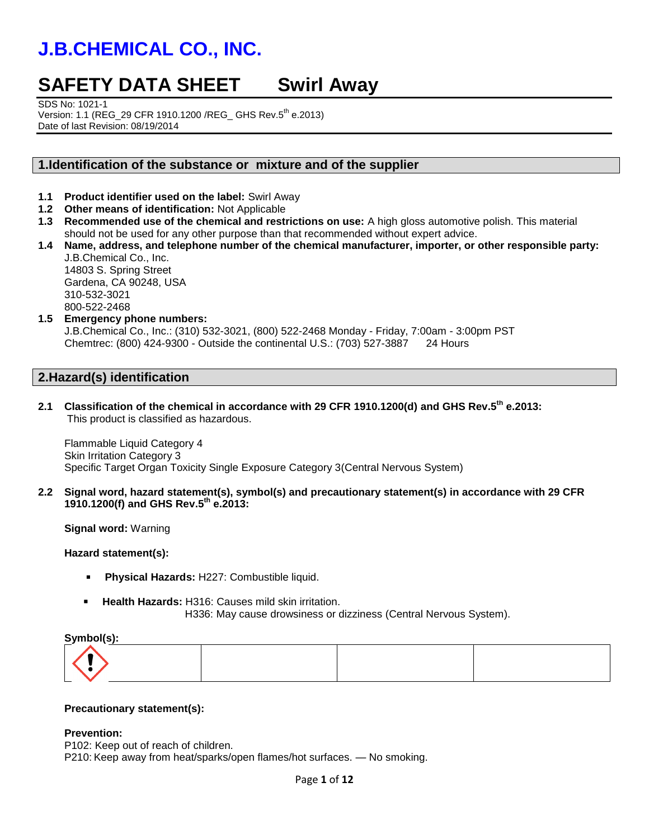## **SAFETY DATA SHEET Swirl Away**

SDS No: 1021-1

Version: 1.1 (REG\_29 CFR 1910.1200 /REG\_ GHS Rev.5th e.2013) Date of last Revision: 08/19/2014

## **1.Identification of the substance or mixture and of the supplier**

- **1.1 Product identifier used on the label:** Swirl Away
- **1.2 Other means of identification:** Not Applicable
- **1.3 Recommended use of the chemical and restrictions on use:** A high gloss automotive polish. This material should not be used for any other purpose than that recommended without expert advice.
- **1.4 Name, address, and telephone number of the chemical manufacturer, importer, or other responsible party:** J.B.Chemical Co., Inc. 14803 S. Spring Street Gardena, CA 90248, USA 310-532-3021 800-522-2468
- **1.5 Emergency phone numbers:**

J.B.Chemical Co., Inc.: (310) 532-3021, (800) 522-2468 Monday - Friday, 7:00am - 3:00pm PST Chemtrec: (800) 424-9300 - Outside the continental U.S.: (703) 527-3887 24 Hours

## **2.Hazard(s) identification**

**2.1 Classification of the chemical in accordance with 29 CFR 1910.1200(d) and GHS Rev.5th e.2013:** This product is classified as hazardous.

Flammable Liquid Category 4 Skin Irritation Category 3 Specific Target Organ Toxicity Single Exposure Category 3(Central Nervous System)

**2.2 Signal word, hazard statement(s), symbol(s) and precautionary statement(s) in accordance with 29 CFR 1910.1200(f) and GHS Rev.5th e.2013:**

**Signal word:** Warning

### **Hazard statement(s):**

- **Physical Hazards:** H227: Combustible liquid.
- **Health Hazards:** H316: Causes mild skin irritation. H336: May cause drowsiness or dizziness (Central Nervous System).

#### **Symbol(s):**

#### **Precautionary statement(s):**

#### **Prevention:**

P102: Keep out of reach of children. P210: Keep away from heat/sparks/open flames/hot surfaces. — No smoking.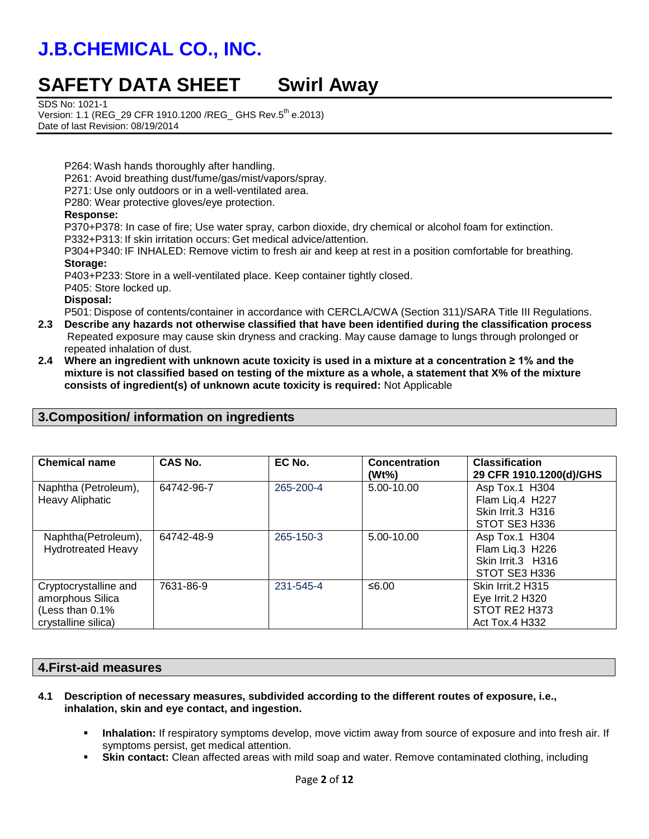## **SAFETY DATA SHEET Swirl Away**

SDS No: 1021-1

Version: 1.1 (REG\_29 CFR 1910.1200 /REG\_ GHS Rev.5<sup>th</sup> e.2013) Date of last Revision: 08/19/2014

P264: Wash hands thoroughly after handling.

P261: Avoid breathing dust/fume/gas/mist/vapors/spray.

P271: Use only outdoors or in a well-ventilated area.

P280: Wear protective gloves/eye protection.

#### **Response:**

P370+P378: In case of fire; Use water spray, carbon dioxide, dry chemical or alcohol foam for extinction. P332+P313: If skin irritation occurs: Get medical advice/attention.

P304+P340: IF INHALED: Remove victim to fresh air and keep at rest in a position comfortable for breathing. **Storage:**

P403+P233: Store in a well-ventilated place. Keep container tightly closed.

P405: Store locked up.

#### **Disposal:**

P501: Dispose of contents/container in accordance with CERCLA/CWA (Section 311)/SARA Title III Regulations.

- **2.3 Describe any hazards not otherwise classified that have been identified during the classification process** Repeated exposure may cause skin dryness and cracking. May cause damage to lungs through prolonged or repeated inhalation of dust.
- **2.4 Where an ingredient with unknown acute toxicity is used in a mixture at a concentration ≥ 1% and the mixture is not classified based on testing of the mixture as a whole, a statement that X% of the mixture consists of ingredient(s) of unknown acute toxicity is required:** Not Applicable

| <b>Chemical name</b>                                                                | CAS No.    | EC No.    | <b>Concentration</b><br>$(Wt\%)$ | <b>Classification</b><br>29 CFR 1910.1200(d)/GHS                                |
|-------------------------------------------------------------------------------------|------------|-----------|----------------------------------|---------------------------------------------------------------------------------|
| Naphtha (Petroleum),<br><b>Heavy Aliphatic</b>                                      | 64742-96-7 | 265-200-4 | 5.00-10.00                       | Asp Tox.1 H304<br>Flam Liq.4 H227<br>Skin Irrit.3 H316<br>STOT SE3 H336         |
| Naphtha(Petroleum),<br><b>Hydrotreated Heavy</b>                                    | 64742-48-9 | 265-150-3 | 5.00-10.00                       | Asp Tox.1 H304<br>Flam Liq.3 H226<br>Skin Irrit.3 H316<br>STOT SE3 H336         |
| Cryptocrystalline and<br>amorphous Silica<br>(Less than 0.1%<br>crystalline silica) | 7631-86-9  | 231-545-4 | ≤6.00                            | Skin Irrit.2 H315<br>Eye Irrit.2 H320<br>STOT RE2 H373<br><b>Act Tox.4 H332</b> |

## **3.Composition/ information on ingredients**

### **4.First-aid measures**

- **4.1 Description of necessary measures, subdivided according to the different routes of exposure, i.e., inhalation, skin and eye contact, and ingestion.**
	- **Inhalation:** If respiratory symptoms develop, move victim away from source of exposure and into fresh air. If symptoms persist, get medical attention.
	- **Skin contact:** Clean affected areas with mild soap and water. Remove contaminated clothing, including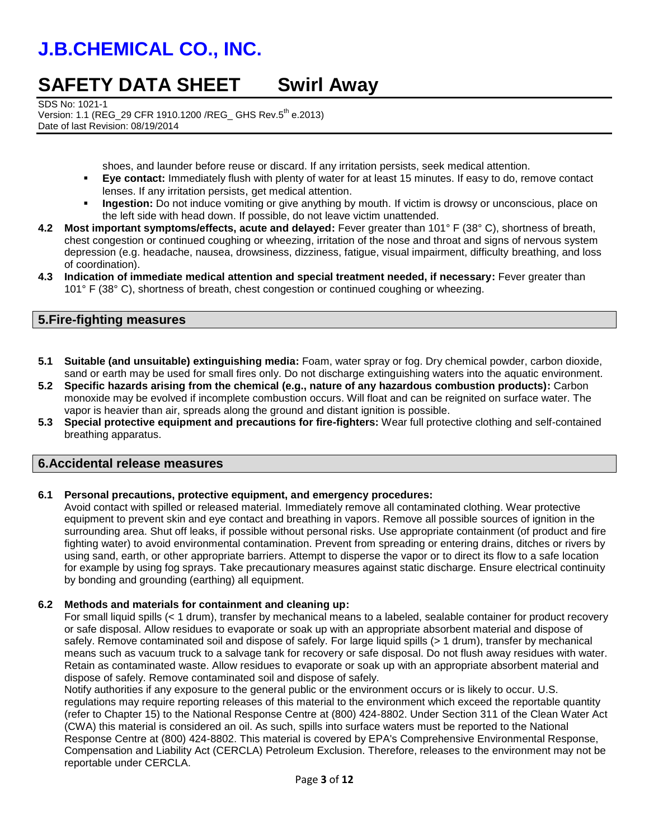## **SAFETY DATA SHEET Swirl Away**

SDS No: 1021-1

Version: 1.1 (REG\_29 CFR 1910.1200 /REG\_ GHS Rev.5th e.2013) Date of last Revision: 08/19/2014

shoes, and launder before reuse or discard. If any irritation persists, seek medical attention.

- **Eye contact:** Immediately flush with plenty of water for at least 15 minutes. If easy to do, remove contact lenses. If any irritation persists, get medical attention.
- **Ingestion:** Do not induce vomiting or give anything by mouth. If victim is drowsy or unconscious, place on the left side with head down. If possible, do not leave victim unattended.
- **4.2 Most important symptoms/effects, acute and delayed:** Fever greater than 101° F (38° C), shortness of breath, chest congestion or continued coughing or wheezing, irritation of the nose and throat and signs of nervous system depression (e.g. headache, nausea, drowsiness, dizziness, fatigue, visual impairment, difficulty breathing, and loss of coordination).
- **4.3 Indication of immediate medical attention and special treatment needed, if necessary:** Fever greater than 101° F (38° C), shortness of breath, chest congestion or continued coughing or wheezing.

## **5.Fire-fighting measures**

- **5.1 Suitable (and unsuitable) extinguishing media:** Foam, water spray or fog. Dry chemical powder, carbon dioxide, sand or earth may be used for small fires only. Do not discharge extinguishing waters into the aquatic environment.
- **5.2 Specific hazards arising from the chemical (e.g., nature of any hazardous combustion products):** Carbon monoxide may be evolved if incomplete combustion occurs. Will float and can be reignited on surface water. The vapor is heavier than air, spreads along the ground and distant ignition is possible.
- **5.3 Special protective equipment and precautions for fire-fighters:** Wear full protective clothing and self-contained breathing apparatus.

## **6.Accidental release measures**

### **6.1 Personal precautions, protective equipment, and emergency procedures:**

Avoid contact with spilled or released material. Immediately remove all contaminated clothing. Wear protective equipment to prevent skin and eye contact and breathing in vapors. Remove all possible sources of ignition in the surrounding area. Shut off leaks, if possible without personal risks. Use appropriate containment (of product and fire fighting water) to avoid environmental contamination. Prevent from spreading or entering drains, ditches or rivers by using sand, earth, or other appropriate barriers. Attempt to disperse the vapor or to direct its flow to a safe location for example by using fog sprays. Take precautionary measures against static discharge. Ensure electrical continuity by bonding and grounding (earthing) all equipment.

### **6.2 Methods and materials for containment and cleaning up:**

For small liquid spills (< 1 drum), transfer by mechanical means to a labeled, sealable container for product recovery or safe disposal. Allow residues to evaporate or soak up with an appropriate absorbent material and dispose of safely. Remove contaminated soil and dispose of safely. For large liquid spills (> 1 drum), transfer by mechanical means such as vacuum truck to a salvage tank for recovery or safe disposal. Do not flush away residues with water. Retain as contaminated waste. Allow residues to evaporate or soak up with an appropriate absorbent material and dispose of safely. Remove contaminated soil and dispose of safely.

Notify authorities if any exposure to the general public or the environment occurs or is likely to occur. U.S. regulations may require reporting releases of this material to the environment which exceed the reportable quantity (refer to Chapter 15) to the National Response Centre at (800) 424-8802. Under Section 311 of the Clean Water Act (CWA) this material is considered an oil. As such, spills into surface waters must be reported to the National Response Centre at (800) 424-8802. This material is covered by EPA's Comprehensive Environmental Response, Compensation and Liability Act (CERCLA) Petroleum Exclusion. Therefore, releases to the environment may not be reportable under CERCLA.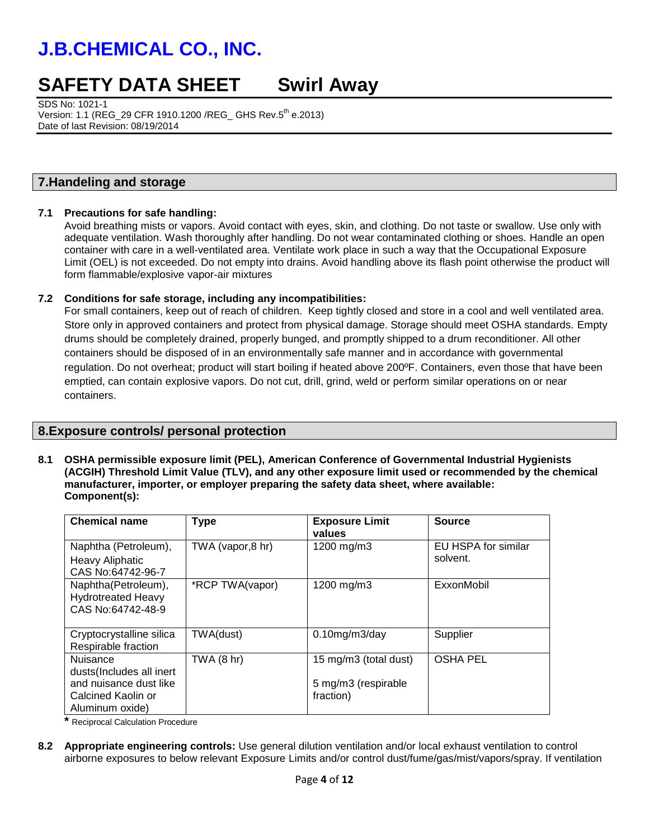## **SAFETY DATA SHEET Swirl Away**

SDS No: 1021-1 Version: 1.1 (REG\_29 CFR 1910.1200 /REG\_ GHS Rev.5th e.2013) Date of last Revision: 08/19/2014

### **7.Handeling and storage**

#### **7.1 Precautions for safe handling:**

Avoid breathing mists or vapors. Avoid contact with eyes, skin, and clothing. Do not taste or swallow. Use only with adequate ventilation. Wash thoroughly after handling. Do not wear contaminated clothing or shoes. Handle an open container with care in a well-ventilated area. Ventilate work place in such a way that the Occupational Exposure Limit (OEL) is not exceeded. Do not empty into drains. Avoid handling above its flash point otherwise the product will form flammable/explosive vapor-air mixtures

#### **7.2 Conditions for safe storage, including any incompatibilities:**

 For small containers, keep out of reach of children. Keep tightly closed and store in a cool and well ventilated area. Store only in approved containers and protect from physical damage. Storage should meet OSHA standards. Empty drums should be completely drained, properly bunged, and promptly shipped to a drum reconditioner. All other containers should be disposed of in an environmentally safe manner and in accordance with governmental regulation. Do not overheat; product will start boiling if heated above 200ºF. Containers, even those that have been emptied, can contain explosive vapors. Do not cut, drill, grind, weld or perform similar operations on or near containers.

## **8.Exposure controls/ personal protection**

**8.1 OSHA permissible exposure limit (PEL), American Conference of Governmental Industrial Hygienists (ACGIH) Threshold Limit Value (TLV), and any other exposure limit used or recommended by the chemical manufacturer, importer, or employer preparing the safety data sheet, where available: Component(s):**

| <b>Chemical name</b>                                                                                           | <b>Type</b>       | <b>Exposure Limit</b><br>values                           | <b>Source</b>                   |
|----------------------------------------------------------------------------------------------------------------|-------------------|-----------------------------------------------------------|---------------------------------|
| Naphtha (Petroleum),<br><b>Heavy Aliphatic</b><br>CAS No:64742-96-7                                            | TWA (vapor, 8 hr) | 1200 mg/m3                                                | EU HSPA for similar<br>solvent. |
| Naphtha(Petroleum),<br><b>Hydrotreated Heavy</b><br>CAS No:64742-48-9                                          | *RCP TWA(vapor)   | 1200 mg/m3                                                | ExxonMobil                      |
| Cryptocrystalline silica<br>Respirable fraction                                                                | TWA(dust)         | $0.10$ mg/m $3$ /day                                      | Supplier                        |
| <b>Nuisance</b><br>dusts(Includes all inert<br>and nuisance dust like<br>Calcined Kaolin or<br>Aluminum oxide) | $TWA$ (8 hr)      | 15 mg/m3 (total dust)<br>5 mg/m3 (respirable<br>fraction) | <b>OSHA PEL</b>                 |

**\*** Reciprocal Calculation Procedure

**8.2 Appropriate engineering controls:** Use general dilution ventilation and/or local exhaust ventilation to control airborne exposures to below relevant Exposure Limits and/or control dust/fume/gas/mist/vapors/spray. If ventilation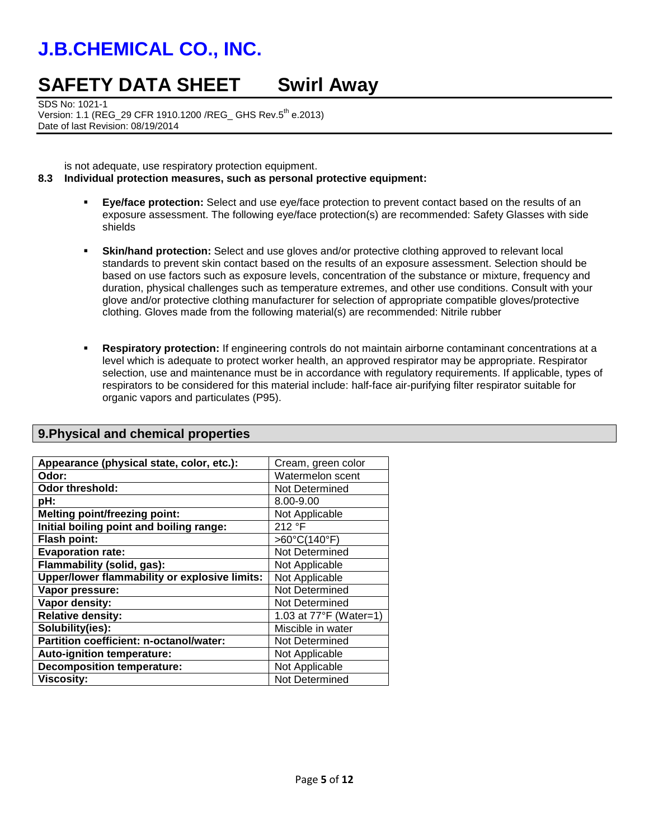## **SAFETY DATA SHEET Swirl Away**

SDS No: 1021-1 Version: 1.1 (REG\_29 CFR 1910.1200 /REG\_ GHS Rev.5<sup>th</sup> e.2013) Date of last Revision: 08/19/2014

is not adequate, use respiratory protection equipment.

#### **8.3 Individual protection measures, such as personal protective equipment:**

- **Eye/face protection:** Select and use eye/face protection to prevent contact based on the results of an exposure assessment. The following eye/face protection(s) are recommended: Safety Glasses with side shields
- **Skin/hand protection:** Select and use gloves and/or protective clothing approved to relevant local standards to prevent skin contact based on the results of an exposure assessment. Selection should be based on use factors such as exposure levels, concentration of the substance or mixture, frequency and duration, physical challenges such as temperature extremes, and other use conditions. Consult with your glove and/or protective clothing manufacturer for selection of appropriate compatible gloves/protective clothing. Gloves made from the following material(s) are recommended: Nitrile rubber
- **Respiratory protection:** If engineering controls do not maintain airborne contaminant concentrations at a level which is adequate to protect worker health, an approved respirator may be appropriate. Respirator selection, use and maintenance must be in accordance with regulatory requirements. If applicable, types of respirators to be considered for this material include: half-face air-purifying filter respirator suitable for organic vapors and particulates (P95).

| Appearance (physical state, color, etc.):     | Cream, green color     |
|-----------------------------------------------|------------------------|
| Odor:                                         | Watermelon scent       |
| <b>Odor threshold:</b>                        | Not Determined         |
| pH:                                           | 8.00-9.00              |
| <b>Melting point/freezing point:</b>          | Not Applicable         |
| Initial boiling point and boiling range:      | 212 °F                 |
| Flash point:                                  | $>60^{\circ}$ C(140°F) |
| <b>Evaporation rate:</b>                      | Not Determined         |
| Flammability (solid, gas):                    | Not Applicable         |
| Upper/lower flammability or explosive limits: | Not Applicable         |
| Vapor pressure:                               | Not Determined         |
| Vapor density:                                | Not Determined         |
| <b>Relative density:</b>                      | 1.03 at 77°F (Water=1) |
| Solubility(ies):                              | Miscible in water      |
| Partition coefficient: n-octanol/water:       | Not Determined         |
| <b>Auto-ignition temperature:</b>             | Not Applicable         |
| <b>Decomposition temperature:</b>             | Not Applicable         |
| <b>Viscosity:</b>                             | Not Determined         |

## **9.Physical and chemical properties**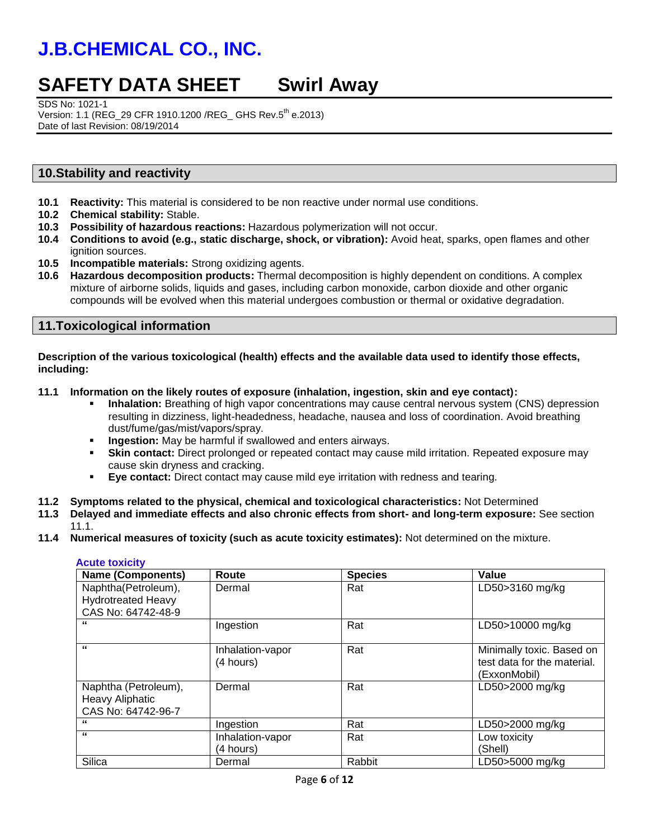## **SAFETY DATA SHEET Swirl Away**

SDS No: 1021-1

Version: 1.1 (REG\_29 CFR 1910.1200 /REG\_ GHS Rev.5th e.2013) Date of last Revision: 08/19/2014

## **10.Stability and reactivity**

- **10.1 Reactivity:** This material is considered to be non reactive under normal use conditions.
- **10.2 Chemical stability:** Stable.
- **10.3 Possibility of hazardous reactions:** Hazardous polymerization will not occur.
- **10.4 Conditions to avoid (e.g., static discharge, shock, or vibration):** Avoid heat, sparks, open flames and other ignition sources.
- **10.5 Incompatible materials:** Strong oxidizing agents.
- **10.6 Hazardous decomposition products:** Thermal decomposition is highly dependent on conditions. A complex mixture of airborne solids, liquids and gases, including carbon monoxide, carbon dioxide and other organic compounds will be evolved when this material undergoes combustion or thermal or oxidative degradation.

### **11.Toxicological information**

**Description of the various toxicological (health) effects and the available data used to identify those effects, including:**

#### **11.1 Information on the likely routes of exposure (inhalation, ingestion, skin and eye contact):**

- **Inhalation:** Breathing of high vapor concentrations may cause central nervous system (CNS) depression resulting in dizziness, light-headedness, headache, nausea and loss of coordination. Avoid breathing dust/fume/gas/mist/vapors/spray.
- **Ingestion:** May be harmful if swallowed and enters airways.
- **Skin contact:** Direct prolonged or repeated contact may cause mild irritation. Repeated exposure may cause skin dryness and cracking.
- **Eye contact:** Direct contact may cause mild eye irritation with redness and tearing.
- **11.2 Symptoms related to the physical, chemical and toxicological characteristics:** Not Determined
- **11.3 Delayed and immediate effects and also chronic effects from short- and long-term exposure:** See section 11.1.
- **11.4 Numerical measures of toxicity (such as acute toxicity estimates):** Not determined on the mixture.

#### **Acute toxicity**

| <b>Name (Components)</b>  | Route            | <b>Species</b> | Value                       |
|---------------------------|------------------|----------------|-----------------------------|
| Naphtha(Petroleum),       | Dermal           | Rat            | LD50>3160 mg/kg             |
| <b>Hydrotreated Heavy</b> |                  |                |                             |
| CAS No: 64742-48-9        |                  |                |                             |
| "                         | Ingestion        | Rat            | LD50>10000 mg/kg            |
| "                         | Inhalation-vapor | Rat            | Minimally toxic. Based on   |
|                           | (4 hours)        |                | test data for the material. |
|                           |                  |                | (ExxonMobil)                |
| Naphtha (Petroleum),      | Dermal           | Rat            | LD50>2000 mg/kg             |
| Heavy Aliphatic           |                  |                |                             |
| CAS No: 64742-96-7        |                  |                |                             |
| "                         | Ingestion        | Rat            | LD50>2000 mg/kg             |
| $\epsilon$                | Inhalation-vapor | Rat            | Low toxicity                |
|                           | (4 hours)        |                | (Shell)                     |
| Silica                    | Dermal           | Rabbit         | LD50>5000 mg/kg             |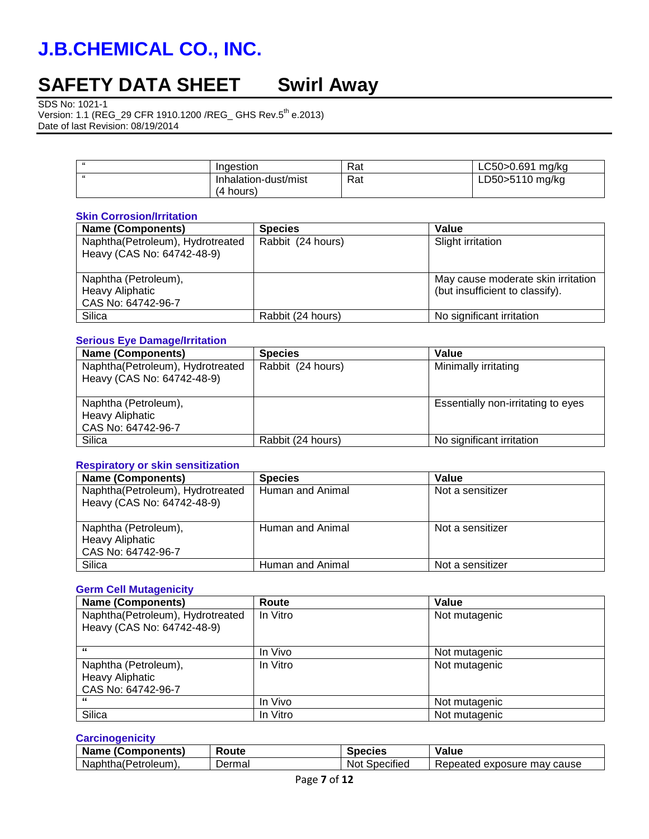# **SAFETY DATA SHEET Swirl Away**

SDS No: 1021-1

Version: 1.1 (REG\_29 CFR 1910.1200 /REG\_ GHS Rev.5<sup>th</sup> e.2013) Date of last Revision: 08/19/2014

| - 66 | Ingestion                            | Rat | LC50>0.691<br>ma/ka |
|------|--------------------------------------|-----|---------------------|
| 66   | Inhalation-dust/mist<br>(4<br>hours) | Rat | LD50>5110 mg/kg     |

### **Skin Corrosion/Irritation**

| <b>Name (Components)</b>                                             | <b>Species</b>    | Value                                                                 |
|----------------------------------------------------------------------|-------------------|-----------------------------------------------------------------------|
| Naphtha(Petroleum), Hydrotreated<br>Heavy (CAS No: 64742-48-9)       | Rabbit (24 hours) | Slight irritation                                                     |
| Naphtha (Petroleum),<br><b>Heavy Aliphatic</b><br>CAS No: 64742-96-7 |                   | May cause moderate skin irritation<br>(but insufficient to classify). |
| Silica                                                               | Rabbit (24 hours) | No significant irritation                                             |

## **Serious Eye Damage/Irritation**

| <b>Name (Components)</b>                                             | <b>Species</b>    | Value                              |
|----------------------------------------------------------------------|-------------------|------------------------------------|
| Naphtha(Petroleum), Hydrotreated<br>Heavy (CAS No: 64742-48-9)       | Rabbit (24 hours) | Minimally irritating               |
| Naphtha (Petroleum),<br><b>Heavy Aliphatic</b><br>CAS No: 64742-96-7 |                   | Essentially non-irritating to eyes |
| Silica                                                               | Rabbit (24 hours) | No significant irritation          |

### **Respiratory or skin sensitization**

| <b>Name (Components)</b>                                             | <b>Species</b>   | Value            |
|----------------------------------------------------------------------|------------------|------------------|
| Naphtha(Petroleum), Hydrotreated<br>Heavy (CAS No: 64742-48-9)       | Human and Animal | Not a sensitizer |
| Naphtha (Petroleum),<br><b>Heavy Aliphatic</b><br>CAS No: 64742-96-7 | Human and Animal | Not a sensitizer |
| Silica                                                               | Human and Animal | Not a sensitizer |

## **Germ Cell Mutagenicity**

| <b>Name (Components)</b>         | Route    | Value         |
|----------------------------------|----------|---------------|
| Naphtha(Petroleum), Hydrotreated | In Vitro | Not mutagenic |
| Heavy (CAS No: 64742-48-9)       |          |               |
|                                  |          |               |
| "                                | In Vivo  | Not mutagenic |
| Naphtha (Petroleum),             | In Vitro | Not mutagenic |
| <b>Heavy Aliphatic</b>           |          |               |
| CAS No: 64742-96-7               |          |               |
| "                                | In Vivo  | Not mutagenic |
| Silica                           | In Vitro | Not mutagenic |

#### **Carcinogenicity**

| <b>Name</b><br>⊦(Components) | Route  | Species                 | Value                            |
|------------------------------|--------|-------------------------|----------------------------------|
| Naphtha (Petroleum),         | Dermal | Specified<br><b>Not</b> | l exposure mav cause<br>Repeated |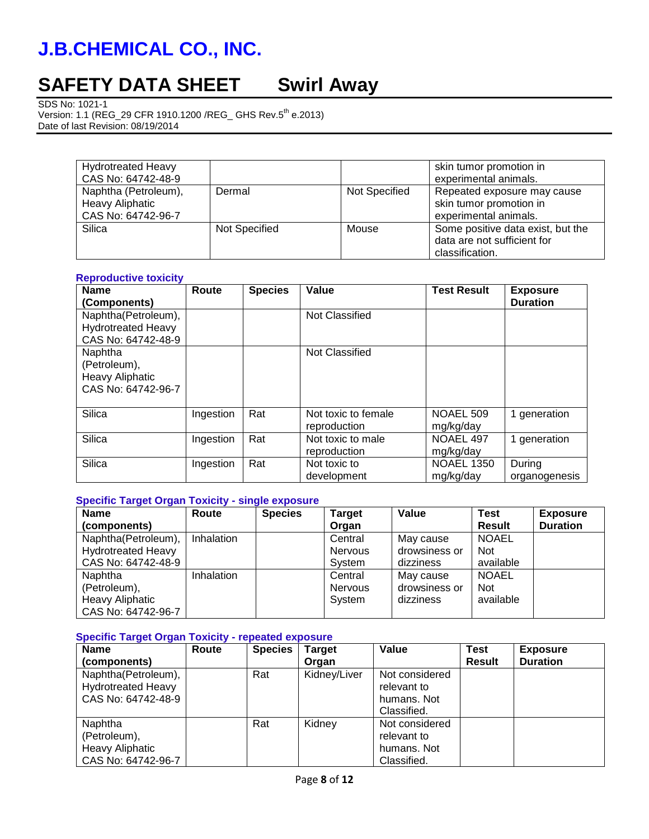# **SAFETY DATA SHEET Swirl Away**

SDS No: 1021-1

Version: 1.1 (REG\_29 CFR 1910.1200 /REG\_ GHS Rev.5<sup>th</sup> e.2013) Date of last Revision: 08/19/2014

| <b>Hydrotreated Heavy</b><br>CAS No: 64742-48-9                      |               |               | skin tumor promotion in<br>experimental animals.                                    |
|----------------------------------------------------------------------|---------------|---------------|-------------------------------------------------------------------------------------|
| Naphtha (Petroleum),<br><b>Heavy Aliphatic</b><br>CAS No: 64742-96-7 | Dermal        | Not Specified | Repeated exposure may cause<br>skin tumor promotion in<br>experimental animals.     |
| Silica                                                               | Not Specified | Mouse         | Some positive data exist, but the<br>data are not sufficient for<br>classification. |

#### **Reproductive toxicity**

| <b>Name</b>               | Route     | <b>Species</b> | Value               | <b>Test Result</b> | <b>Exposure</b> |
|---------------------------|-----------|----------------|---------------------|--------------------|-----------------|
| (Components)              |           |                |                     |                    | <b>Duration</b> |
| Naphtha(Petroleum),       |           |                | Not Classified      |                    |                 |
| <b>Hydrotreated Heavy</b> |           |                |                     |                    |                 |
| CAS No: 64742-48-9        |           |                |                     |                    |                 |
| Naphtha                   |           |                | Not Classified      |                    |                 |
| (Petroleum),              |           |                |                     |                    |                 |
| <b>Heavy Aliphatic</b>    |           |                |                     |                    |                 |
| CAS No: 64742-96-7        |           |                |                     |                    |                 |
|                           |           |                |                     |                    |                 |
| Silica                    | Ingestion | Rat            | Not toxic to female | <b>NOAEL 509</b>   | 1 generation    |
|                           |           |                | reproduction        | mg/kg/day          |                 |
| Silica                    | Ingestion | Rat            | Not toxic to male   | NOAEL 497          | 1 generation    |
|                           |           |                | reproduction        | mg/kg/day          |                 |
| Silica                    | Ingestion | Rat            | Not toxic to        | <b>NOAEL 1350</b>  | During          |
|                           |           |                | development         | mg/kg/day          | organogenesis   |

### **Specific Target Organ Toxicity - single exposure**

| <b>Name</b>               | Route             | <b>Species</b> | <b>Target</b>  | Value         | <b>Test</b>   | <b>Exposure</b> |
|---------------------------|-------------------|----------------|----------------|---------------|---------------|-----------------|
| (components)              |                   |                | Organ          |               | <b>Result</b> | <b>Duration</b> |
| Naphtha(Petroleum),       | Inhalation        |                | Central        | May cause     | <b>NOAEL</b>  |                 |
| <b>Hydrotreated Heavy</b> |                   |                | <b>Nervous</b> | drowsiness or | <b>Not</b>    |                 |
| CAS No: 64742-48-9        |                   |                | System         | dizziness     | available     |                 |
| Naphtha                   | <b>Inhalation</b> |                | Central        | May cause     | <b>NOAEL</b>  |                 |
| (Petroleum),              |                   |                | <b>Nervous</b> | drowsiness or | <b>Not</b>    |                 |
| <b>Heavy Aliphatic</b>    |                   |                | System         | dizziness     | available     |                 |
| CAS No: 64742-96-7        |                   |                |                |               |               |                 |

#### **Specific Target Organ Toxicity - repeated exposure**

| <b>Name</b>               | Route | <b>Species</b> | Target       | Value          | <b>Test</b>   | <b>Exposure</b> |
|---------------------------|-------|----------------|--------------|----------------|---------------|-----------------|
| (components)              |       |                | Organ        |                | <b>Result</b> | <b>Duration</b> |
| Naphtha(Petroleum),       |       | Rat            | Kidney/Liver | Not considered |               |                 |
| <b>Hydrotreated Heavy</b> |       |                |              | relevant to    |               |                 |
| CAS No: 64742-48-9        |       |                |              | humans. Not    |               |                 |
|                           |       |                |              | Classified.    |               |                 |
| Naphtha                   |       | Rat            | Kidney       | Not considered |               |                 |
| (Petroleum),              |       |                |              | relevant to    |               |                 |
| <b>Heavy Aliphatic</b>    |       |                |              | humans, Not    |               |                 |
| CAS No: 64742-96-7        |       |                |              | Classified.    |               |                 |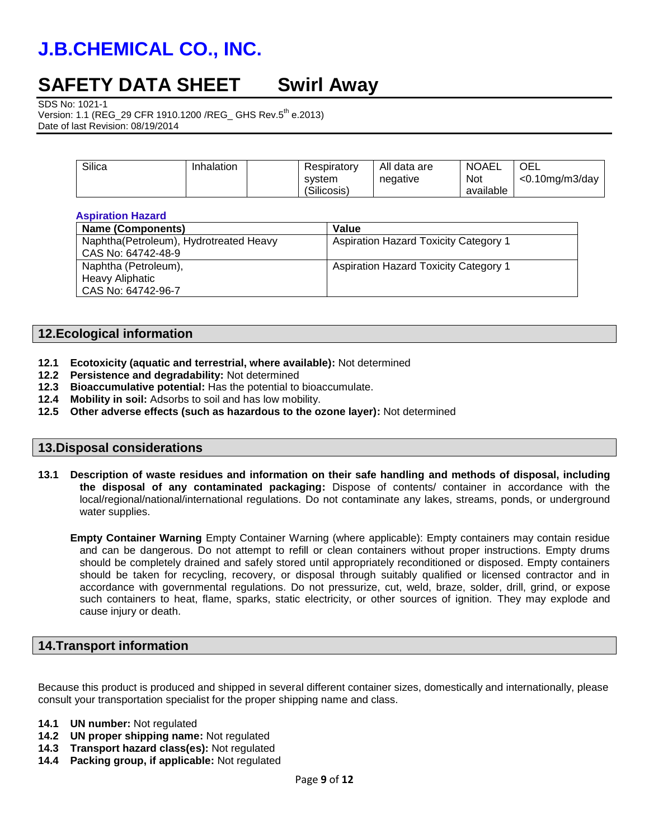## **SAFETY DATA SHEET Swirl Away**

SDS No: 1021-1

Version: 1.1 (REG\_29 CFR 1910.1200 /REG\_ GHS Rev.5<sup>th</sup> e.2013) Date of last Revision: 08/19/2014

| negative<br>svstem<br>(Silicosis) | <b>NOAEL</b><br><b>Not</b><br>available | OEL<br>$<$ 0.10mg/m3/day |
|-----------------------------------|-----------------------------------------|--------------------------|
|-----------------------------------|-----------------------------------------|--------------------------|

#### **Aspiration Hazard**

| <b>Name (Components)</b>               | Value                                        |
|----------------------------------------|----------------------------------------------|
| Naphtha(Petroleum), Hydrotreated Heavy | <b>Aspiration Hazard Toxicity Category 1</b> |
| CAS No: 64742-48-9                     |                                              |
| Naphtha (Petroleum),                   | <b>Aspiration Hazard Toxicity Category 1</b> |
| Heavy Aliphatic                        |                                              |
| CAS No: 64742-96-7                     |                                              |

## **12.Ecological information**

- **12.1 Ecotoxicity (aquatic and terrestrial, where available):** Not determined
- **12.2 Persistence and degradability:** Not determined
- **12.3 Bioaccumulative potential:** Has the potential to bioaccumulate.
- **12.4 Mobility in soil:** Adsorbs to soil and has low mobility.
- **12.5 Other adverse effects (such as hazardous to the ozone layer):** Not determined

### **13.Disposal considerations**

**13.1 Description of waste residues and information on their safe handling and methods of disposal, including the disposal of any contaminated packaging:** Dispose of contents/ container in accordance with the local/regional/national/international regulations. Do not contaminate any lakes, streams, ponds, or underground water supplies.

**Empty Container Warning** Empty Container Warning (where applicable): Empty containers may contain residue and can be dangerous. Do not attempt to refill or clean containers without proper instructions. Empty drums should be completely drained and safely stored until appropriately reconditioned or disposed. Empty containers should be taken for recycling, recovery, or disposal through suitably qualified or licensed contractor and in accordance with governmental regulations. Do not pressurize, cut, weld, braze, solder, drill, grind, or expose such containers to heat, flame, sparks, static electricity, or other sources of ignition. They may explode and cause injury or death.

## **14.Transport information**

Because this product is produced and shipped in several different container sizes, domestically and internationally, please consult your transportation specialist for the proper shipping name and class.

- **14.1 UN number:** Not regulated
- **14.2 UN proper shipping name:** Not regulated
- **14.3 Transport hazard class(es):** Not regulated
- **14.4 Packing group, if applicable:** Not regulated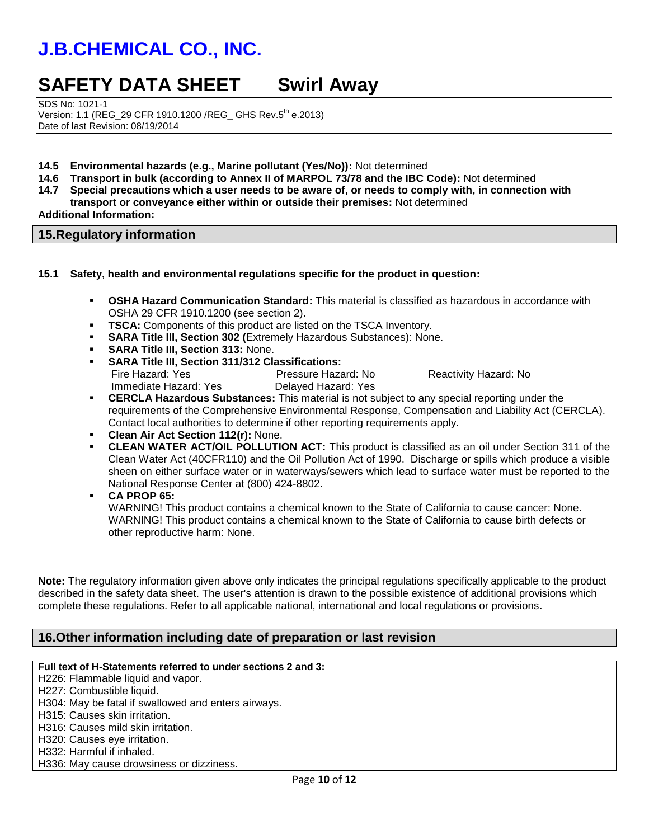## **SAFETY DATA SHEET Swirl Away**

SDS No: 1021-1 Version: 1.1 (REG\_29 CFR 1910.1200 /REG\_ GHS Rev.5<sup>th</sup> e.2013) Date of last Revision: 08/19/2014

- **14.5 Environmental hazards (e.g., Marine pollutant (Yes/No)):** Not determined
- **14.6 Transport in bulk (according to Annex II of MARPOL 73/78 and the IBC Code):** Not determined
- **14.7 Special precautions which a user needs to be aware of, or needs to comply with, in connection with transport or conveyance either within or outside their premises:** Not determined **Additional Information:**

## **15.Regulatory information**

#### **15.1 Safety, health and environmental regulations specific for the product in question:**

- **OSHA Hazard Communication Standard:** This material is classified as hazardous in accordance with OSHA 29 CFR 1910.1200 (see section 2).
- **TSCA:** Components of this product are listed on the TSCA Inventory.
- **SARA Title III, Section 302 (**Extremely Hazardous Substances): None.
- **SARA Title III, Section 313:** None.
- **SARA Title III, Section 311/312 Classifications:** Pressure Hazard: No Reactivity Hazard: No Immediate Hazard: Yes Delayed Hazard: Yes
- **CERCLA Hazardous Substances:** This material is not subject to any special reporting under the requirements of the Comprehensive Environmental Response, Compensation and Liability Act (CERCLA). Contact local authorities to determine if other reporting requirements apply.
- **Clean Air Act Section 112(r):** None.
- **CLEAN WATER ACT/OIL POLLUTION ACT:** This product is classified as an oil under Section 311 of the Clean Water Act (40CFR110) and the Oil Pollution Act of 1990. Discharge or spills which produce a visible sheen on either surface water or in waterways/sewers which lead to surface water must be reported to the National Response Center at (800) 424-8802.
- **CA PROP 65:**

WARNING! This product contains a chemical known to the State of California to cause cancer: None. WARNING! This product contains a chemical known to the State of California to cause birth defects or other reproductive harm: None.

**Note:** The regulatory information given above only indicates the principal regulations specifically applicable to the product described in the safety data sheet. The user's attention is drawn to the possible existence of additional provisions which complete these regulations. Refer to all applicable national, international and local regulations or provisions.

## **16.Other information including date of preparation or last revision**

#### **Full text of H-Statements referred to under sections 2 and 3:**

H226: Flammable liquid and vapor.

H227: Combustible liquid.

H304: May be fatal if swallowed and enters airways.

H315: Causes skin irritation.

H316: Causes mild skin irritation.

H320: Causes eye irritation.

H332: Harmful if inhaled.

H336: May cause drowsiness or dizziness.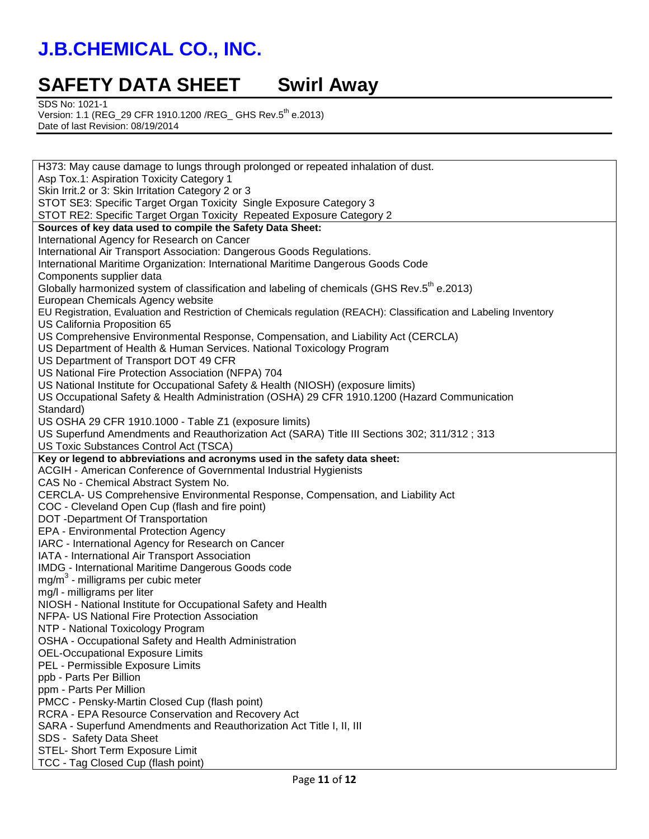## **SAFETY DATA SHEET Swirl Away**

SDS No: 1021-1

Version: 1.1 (REG\_29 CFR 1910.1200 /REG\_ GHS Rev.5<sup>th</sup> e.2013) Date of last Revision: 08/19/2014

| H373: May cause damage to lungs through prolonged or repeated inhalation of dust.                                  |
|--------------------------------------------------------------------------------------------------------------------|
| Asp Tox.1: Aspiration Toxicity Category 1                                                                          |
| Skin Irrit.2 or 3: Skin Irritation Category 2 or 3                                                                 |
| STOT SE3: Specific Target Organ Toxicity Single Exposure Category 3                                                |
| STOT RE2: Specific Target Organ Toxicity Repeated Exposure Category 2                                              |
| Sources of key data used to compile the Safety Data Sheet:                                                         |
| International Agency for Research on Cancer                                                                        |
| International Air Transport Association: Dangerous Goods Regulations.                                              |
| International Maritime Organization: International Maritime Dangerous Goods Code                                   |
| Components supplier data                                                                                           |
| Globally harmonized system of classification and labeling of chemicals (GHS Rev.5 <sup>th</sup> e.2013)            |
| European Chemicals Agency website                                                                                  |
| EU Registration, Evaluation and Restriction of Chemicals regulation (REACH): Classification and Labeling Inventory |
| US California Proposition 65                                                                                       |
| US Comprehensive Environmental Response, Compensation, and Liability Act (CERCLA)                                  |
| US Department of Health & Human Services. National Toxicology Program                                              |
| US Department of Transport DOT 49 CFR                                                                              |
| US National Fire Protection Association (NFPA) 704                                                                 |
| US National Institute for Occupational Safety & Health (NIOSH) (exposure limits)                                   |
| US Occupational Safety & Health Administration (OSHA) 29 CFR 1910.1200 (Hazard Communication                       |
| Standard)                                                                                                          |
| US OSHA 29 CFR 1910.1000 - Table Z1 (exposure limits)                                                              |
| US Superfund Amendments and Reauthorization Act (SARA) Title III Sections 302; 311/312 ; 313                       |
| US Toxic Substances Control Act (TSCA)                                                                             |
| Key or legend to abbreviations and acronyms used in the safety data sheet:                                         |
| ACGIH - American Conference of Governmental Industrial Hygienists                                                  |
| CAS No - Chemical Abstract System No.                                                                              |
| CERCLA- US Comprehensive Environmental Response, Compensation, and Liability Act                                   |
| COC - Cleveland Open Cup (flash and fire point)                                                                    |
| DOT -Department Of Transportation<br><b>EPA - Environmental Protection Agency</b>                                  |
| IARC - International Agency for Research on Cancer                                                                 |
| IATA - International Air Transport Association                                                                     |
| IMDG - International Maritime Dangerous Goods code                                                                 |
| $mg/m3$ - milligrams per cubic meter                                                                               |
| mg/l - milligrams per liter                                                                                        |
| NIOSH - National Institute for Occupational Safety and Health                                                      |
| NFPA- US National Fire Protection Association                                                                      |
| NTP - National Toxicology Program                                                                                  |
| OSHA - Occupational Safety and Health Administration                                                               |
| <b>OEL-Occupational Exposure Limits</b>                                                                            |
| PEL - Permissible Exposure Limits                                                                                  |
| ppb - Parts Per Billion                                                                                            |
| ppm - Parts Per Million                                                                                            |
| PMCC - Pensky-Martin Closed Cup (flash point)                                                                      |
| RCRA - EPA Resource Conservation and Recovery Act                                                                  |
| SARA - Superfund Amendments and Reauthorization Act Title I, II, III                                               |
| SDS - Safety Data Sheet                                                                                            |
| STEL- Short Term Exposure Limit                                                                                    |
| TCC - Tag Closed Cup (flash point)                                                                                 |